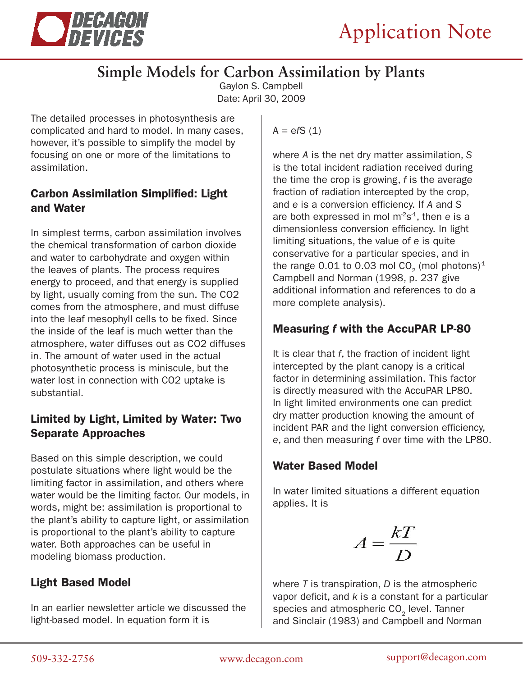

# **Simple Models for Carbon Assimilation by Plants**

Gaylon S. Campbell Date: April 30, 2009

The detailed processes in photosynthesis are complicated and hard to model. In many cases, however, it's possible to simplify the model by focusing on one or more of the limitations to assimilation.

#### Carbon Assimilation Simplified: Light and Water

In simplest terms, carbon assimilation involves the chemical transformation of carbon dioxide and water to carbohydrate and oxygen within the leaves of plants. The process requires energy to proceed, and that energy is supplied by light, usually coming from the sun. The CO2 comes from the atmosphere, and must diffuse into the leaf mesophyll cells to be fixed. Since the inside of the leaf is much wetter than the atmosphere, water diffuses out as CO2 diffuses in. The amount of water used in the actual photosynthetic process is miniscule, but the water lost in connection with CO2 uptake is substantial.

#### Limited by Light, Limited by Water: Two Separate Approaches

Based on this simple description, we could postulate situations where light would be the limiting factor in assimilation, and others where water would be the limiting factor. Our models, in words, might be: assimilation is proportional to the plant's ability to capture light, or assimilation is proportional to the plant's ability to capture water. Both approaches can be useful in modeling biomass production.

### Light Based Model

In an earlier newsletter article we discussed the light-based model. In equation form it is

 $A = efS(1)$ 

where *A* is the net dry matter assimilation, *S*  is the total incident radiation received during the time the crop is growing, *f* is the average fraction of radiation intercepted by the crop, and *e* is a conversion efficiency. If *A* and *S* are both expressed in mol m-2s-1, then *e* is a dimensionless conversion efficiency. In light limiting situations, the value of *e* is quite conservative for a particular species, and in the range 0.01 to 0.03 mol  $CO<sub>2</sub>$  (mol photons)<sup>1</sup> Campbell and Norman (1998, p. 237 give additional information and references to do a more complete analysis).

### Measuring *f* with the AccuPAR LP-80

It is clear that *f*, the fraction of incident light intercepted by the plant canopy is a critical factor in determining assimilation. This factor is directly measured with the AccuPAR LP80. In light limited environments one can predict dry matter production knowing the amount of incident PAR and the light conversion efficiency, *e*, and then measuring *f* over time with the LP80.

### Water Based Model

In water limited situations a different equation applies. It is

$$
A = \frac{kT}{D}
$$

where *T* is transpiration, *D* is the atmospheric vapor deficit, and *k* is a constant for a particular species and atmospheric  $CO<sub>2</sub>$  level. Tanner and Sinclair (1983) and Campbell and Norman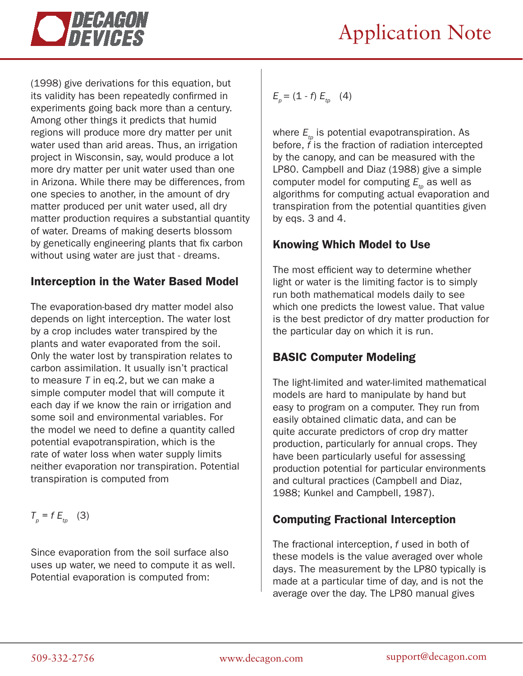

(1998) give derivations for this equation, but its validity has been repeatedly confirmed in experiments going back more than a century. Among other things it predicts that humid regions will produce more dry matter per unit water used than arid areas. Thus, an irrigation project in Wisconsin, say, would produce a lot more dry matter per unit water used than one in Arizona. While there may be differences, from one species to another, in the amount of dry matter produced per unit water used, all dry matter production requires a substantial quantity of water. Dreams of making deserts blossom by genetically engineering plants that fix carbon without using water are just that - dreams.

### Interception in the Water Based Model

The evaporation-based dry matter model also depends on light interception. The water lost by a crop includes water transpired by the plants and water evaporated from the soil. Only the water lost by transpiration relates to carbon assimilation. It usually isn't practical to measure *T* in eq.2, but we can make a simple computer model that will compute it each day if we know the rain or irrigation and some soil and environmental variables. For the model we need to define a quantity called potential evapotranspiration, which is the rate of water loss when water supply limits neither evaporation nor transpiration. Potential transpiration is computed from

 $T_p = f E_{tp}$  (3)

Since evaporation from the soil surface also uses up water, we need to compute it as well. Potential evaporation is computed from:

$$
E_p = (1 - f) E_{tp} \quad (4)
$$

where  $E_{t_p}$  is potential evapotranspiration. As before, *f* is the fraction of radiation intercepted by the canopy, and can be measured with the LP80. Campbell and Diaz (1988) give a simple computer model for computing  $E_{tn}$  as well as algorithms for computing actual evaporation and transpiration from the potential quantities given by eqs. 3 and 4.

### Knowing Which Model to Use

The most efficient way to determine whether light or water is the limiting factor is to simply run both mathematical models daily to see which one predicts the lowest value. That value is the best predictor of dry matter production for the particular day on which it is run.

## BASIC Computer Modeling

The light-limited and water-limited mathematical models are hard to manipulate by hand but easy to program on a computer. They run from easily obtained climatic data, and can be quite accurate predictors of crop dry matter production, particularly for annual crops. They have been particularly useful for assessing production potential for particular environments and cultural practices (Campbell and Diaz, 1988; Kunkel and Campbell, 1987).

### Computing Fractional Interception

The fractional interception, *f* used in both of these models is the value averaged over whole days. The measurement by the LP80 typically is made at a particular time of day, and is not the average over the day. The LP80 manual gives